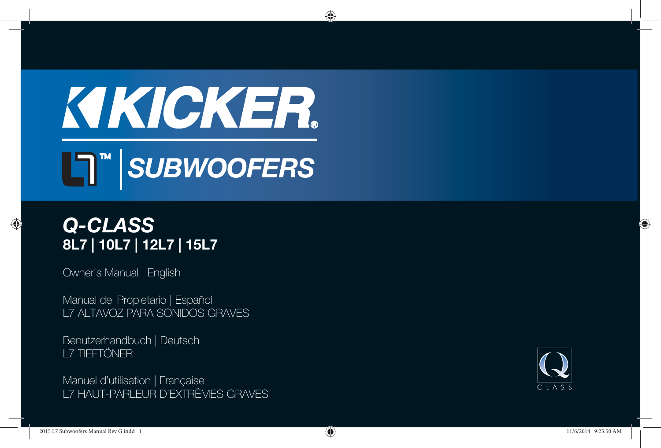# KIKICKER.



# *Q-CLASS* **8L7 | 10L7 | 12L7 | 15L7**

Owner's Manual | English

⊕

Manual del Propietario | Español L7 ALTAVOZ PARA SONIDOS GRAVES

Benutzerhandbuch | Deutsch L7 TIEFTÖNER

Manuel d'utilisation | Française L7 HAUT-PARLEUR D'EXTRÊMES GRAVES

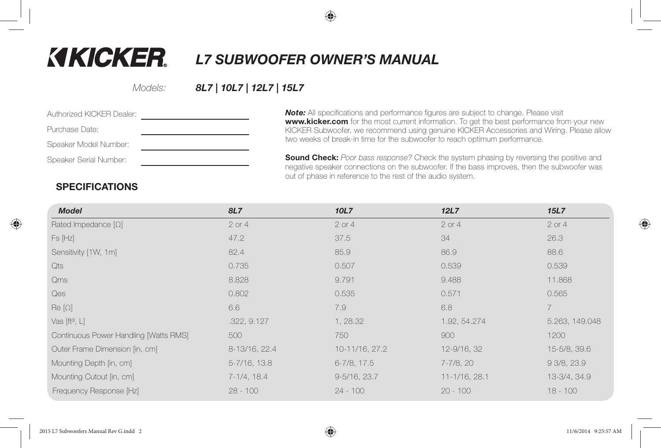# **KIKICKER.**

*L7 SUBWOOFER OWNER'S MANUAL*

Models:

#### *8L7 | 10L7 | 12L7 | 15L7*

**Note:** All specifications and performance figures are subject to change. Please visit **www.kicker.com** for the most current information. To get the best performance from your new KICKER Subwoofer, we recommend using genuine KICKER Accessories and Wiring. Please allow two weeks of break-in time for the subwoofer to reach optimum performance.

**Sound Check:** Poor bass response? Check the system phasing by reversing the positive and negative speaker connections on the subwoofer. If the bass improves, then the subwoofer was out of phase in reference to the rest of the audio system.

#### **SPECIFICATIONS**

| <b>Model</b>                          | 8L7               | 10L7              | 12L7          | <b>15L7</b>    |
|---------------------------------------|-------------------|-------------------|---------------|----------------|
| Rated Impedance $[\Omega]$            | $2$ or $4$        | $2$ or $4$        | 2 or 4        | $2$ or $4$     |
| Fs [Hz]                               | 47.2              | 37.5              | 34            | 26.3           |
| Sensitivity [1W, 1m]                  | 82.4              | 85.9              | 86.9          | 88.6           |
| Qts                                   | 0.735             | 0.507             | 0.539         | 0.539          |
| Qms                                   | 8.828             | 9.791             | 9.488         | 11.868         |
| Qes                                   | 0.802             | 0.535             | 0.571         | 0.565          |
| $\mathsf{Re}\left[\Omega\right]$      | 6.6               | 7.9               | 6.8           | $\overline{7}$ |
| Vas $[ft^3, L]$                       | .322, 9.127       | 1, 28.32          | 1.92, 54.274  | 5.263, 149.048 |
| Continuous Power Handling [Watts RMS] | 500               | 750               | 900           | 1200           |
| Outer Frame Dimension [in, cm]        | 8-13/16, 22.4     | 10-11/16, 27.2    | 12-9/16, 32   | 15-5/8, 39.6   |
| Mounting Depth [in, cm]               | $5 - 7/16$ , 13.8 | 6-7/8, 17.5       | 7-7/8, 20     | 93/8,23.9      |
| Mounting Cutout [in, cm]              | 7-1/4, 18.4       | $9 - 5/16$ , 23.7 | 11-1/16, 28.1 | 13-3/4, 34.9   |
| Frequency Response [Hz]               | $28 - 100$        | $24 - 100$        | $20 - 100$    | $18 - 100$     |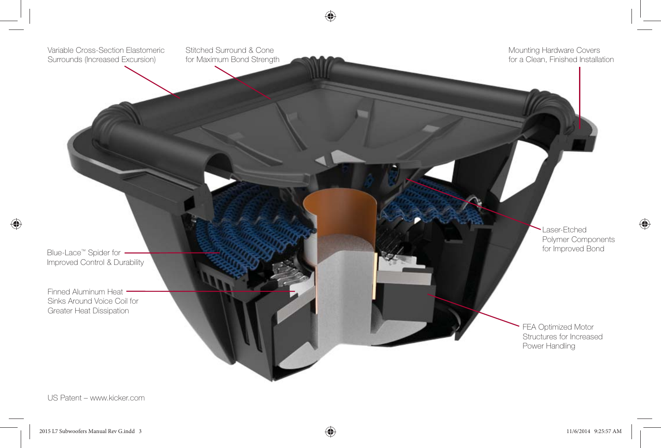

US Patent – www.kicker.com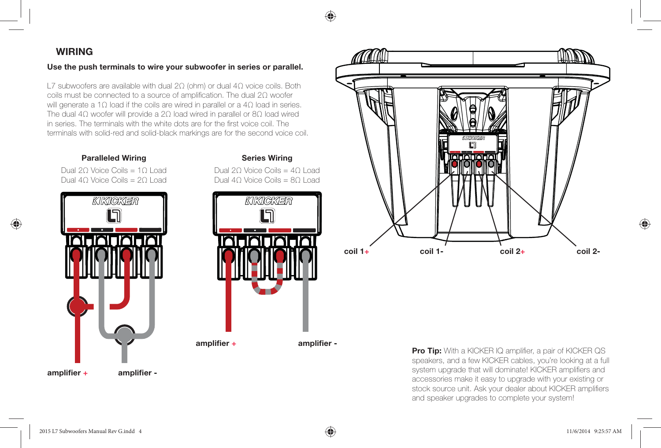#### **WIRING**

♠

#### **Use the push terminals to wire your subwoofer in series or parallel.**

L7 subwoofers are available with dual 2Ω (ohm) or dual 4Ω voice coils. Both coils must be connected to a source of amplification. The dual 2Ω woofer will generate a 1Ω load if the coils are wired in parallel or a 4Ω load in series. The dual 4Ω woofer will provide a 2Ω load wired in parallel or 8Ω load wired in series. The terminals with the white dots are for the first voice coil. The terminals with solid-red and solid-black markings are for the second voice coil.

#### **Paralleled Wiring Series Wiring**

Dual 2Ω Voice Coils = 4Ω Load

Dual 2Ω Voice Coils = 1Ω LoadDual 4Ω Voice Coils = 2Ω Load







**Pro Tip:** With a KICKER IQ amplifier, a pair of KICKER QS speakers, and a few KICKER cables, you're looking at a full system upgrade that will dominate! KICKER amplifiers and accessories make it easy to upgrade with your existing or stock source unit. Ask your dealer about KICKER amplifiers and speaker upgrades to complete your system!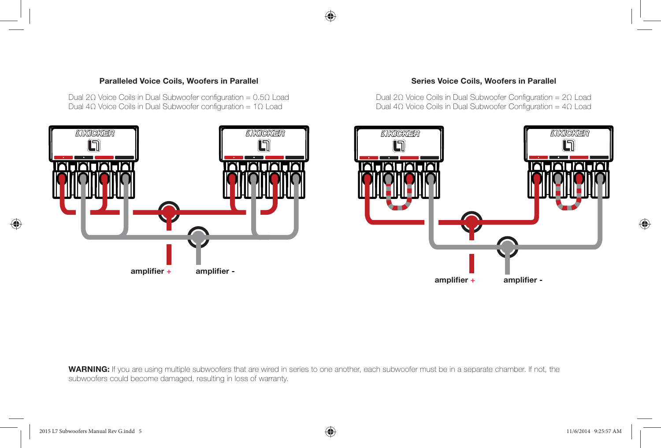

Dual 2Ω Voice Coils in Dual Subwoofer configuration =  $0.5Ω$  Load Dual 4Ω Voice Coils in Dual Subwoofer configuration =  $1Ω$  Load



Dual 2Ω Voice Coils in Dual Subwoofer Configuration =  $2Ω$  Load Dual 4Ω Voice Coils in Dual Subwoofer Configuration =  $4Ω$  Load



**WARNING:** If you are using multiple subwoofers that are wired in series to one another, each subwoofer must be in a separate chamber. If not, the subwoofers could become damaged, resulting in loss of warranty.

♠

♠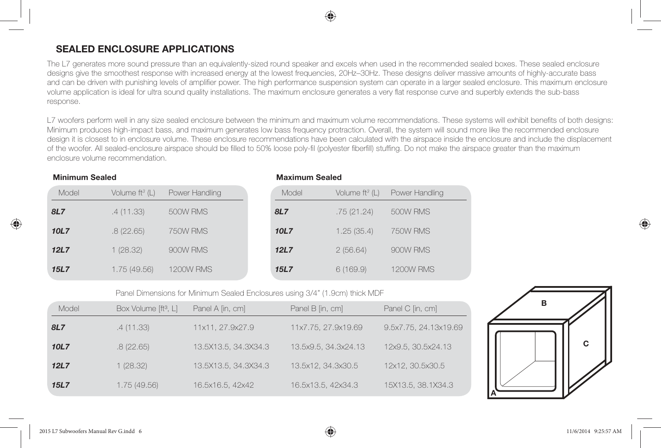# **SEALED ENCLOSURE APPLICATIONS**

The L7 generates more sound pressure than an equivalently-sized round speaker and excels when used in the recommended sealed boxes. These sealed enclosure designs give the smoothest response with increased energy at the lowest frequencies, 20Hz–30Hz. These designs deliver massive amounts of highly-accurate bass and can be driven with punishing levels of amplifier power. The high performance suspension system can operate in a larger sealed enclosure. This maximum enclosure volume application is ideal for ultra sound quality installations. The maximum enclosure generates a very flat response curve and superbly extends the sub-bass response.

L7 woofers perform well in any size sealed enclosure between the minimum and maximum volume recommendations. These systems will exhibit benefits of both designs: Minimum produces high-impact bass, and maximum generates low bass frequency protraction. Overall, the system will sound more like the recommended enclosure design it is closest to in enclosure volume. These enclosure recommendations have been calculated with the airspace inside the enclosure and include the displacement of the woofer. All sealed-enclosure airspace should be filled to 50% loose poly-fil (polyester fiberfill) stuffing. Do not make the airspace greater than the maximum enclosure volume recommendation.

**Maximum Sealed**

#### **Minimum Sealed**

| Model | Volume $ft^3$ (L) | Power Handling   | Model | Volume $ft^3$ (L) | Power Handling   |
|-------|-------------------|------------------|-------|-------------------|------------------|
| 8L7   | .4 (11.33)        | 500W RMS         | 8L7   | .75(21.24)        | 500W RMS         |
| 10L7  | .8(22.65)         | 750W RMS         | 10L7  | 1.25(35.4)        | 750W RMS         |
| 12L7  | 1(28.32)          | 900W RMS         | 12L7  | 2(56.64)          | 900W RMS         |
| 15L7  | 1.75(49.56)       | <b>1200W RMS</b> | 15L7  | 6(169.9)          | <b>1200W RMS</b> |

Panel Dimensions for Minimum Sealed Enclosures using 3/4" (1.9cm) thick MDF

| Model      | Box Volume [ft <sup>3</sup> , L] | Panel A [in, cm]     | Panel B [in, cm]     | Panel C [in, cm]      |
|------------|----------------------------------|----------------------|----------------------|-----------------------|
| <b>8L7</b> | .4(11.33)                        | 11x11, 27.9x27.9     | 11x7.75, 27.9x19.69  | 9.5x7.75, 24.13x19.69 |
| 10L7       | .8(22.65)                        | 13.5X13.5, 34.3X34.3 | 13.5x9.5, 34.3x24.13 | 12x9.5, 30.5x24.13    |
| 12L7       | 1(28.32)                         | 13.5X13.5, 34.3X34.3 | 13.5x12, 34.3x30.5   | 12x12, 30.5x30.5      |
| 15L7       | 1.75(49.56)                      | 16.5x16.5, 42x42     | 16.5x13.5, 42x34.3   | 15X13.5, 38.1X34.3    |

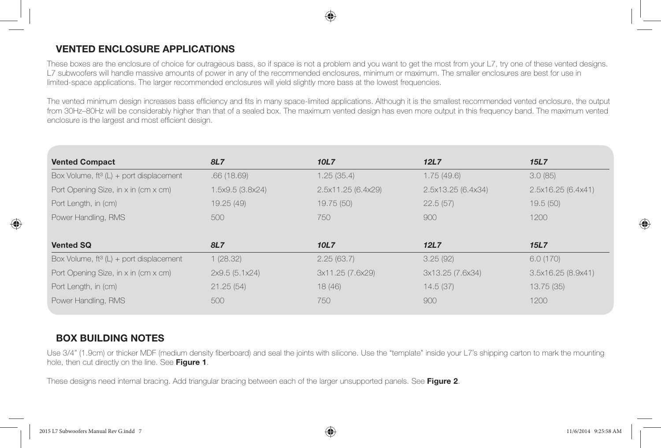#### **VENTED ENCLOSURE APPLICATIONS**

These boxes are the enclosure of choice for outrageous bass, so if space is not a problem and you want to get the most from your L7, try one of these vented designs. L7 subwoofers will handle massive amounts of power in any of the recommended enclosures, minimum or maximum. The smaller enclosures are best for use in limited-space applications. The larger recommended enclosures will yield slightly more bass at the lowest frequencies.

The vented minimum design increases bass efficiency and fits in many space-limited applications. Although it is the smallest recommended vented enclosure, the output from 30Hz–80Hz will be considerably higher than that of a sealed box. The maximum vented design has even more output in this frequency band. The maximum vented enclosure is the largest and most efficient design.

| 8L7              | 10L7               | 12L7               | <b>15L7</b>        |
|------------------|--------------------|--------------------|--------------------|
| .66(18.69)       | 1.25(35.4)         | 1.75(49.6)         | 3.0(85)            |
| 1.5x9.5 (3.8x24) | 2.5x11.25 (6.4x29) | 2.5x13.25 (6.4x34) | 2.5x16.25 (6.4x41) |
| 19.25 (49)       | 19.75 (50)         | 22.5(57)           | 19.5(50)           |
| 500              | 750                | 900                | 1200               |
|                  |                    |                    |                    |
| 8L7              | 10L7               | 12L7               | <b>15L7</b>        |
| 1(28.32)         | 2.25(63.7)         | 3.25(92)           | 6.0(170)           |
| 2x9.5(5.1x24)    | 3x11.25 (7.6x29)   | 3x13.25 (7.6x34)   | 3.5x16.25 (8.9x41) |
| 21.25(54)        | 18(46)             | 14.5(37)           | 13.75 (35)         |
| 500              | 750                | 900                | 1200               |
|                  |                    |                    |                    |

#### **BOX BUILDING NOTES**

Use 3/4" (1.9cm) or thicker MDF (medium density fiberboard) and seal the joints with silicone. Use the "template" inside your L7's shipping carton to mark the mounting hole, then cut directly on the line. See **Figure 1**.

These designs need internal bracing. Add triangular bracing between each of the larger unsupported panels. See **Figure 2**.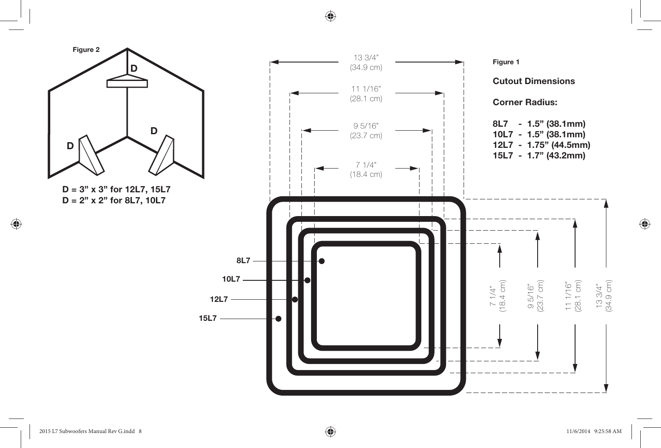⊕



 $\bigoplus$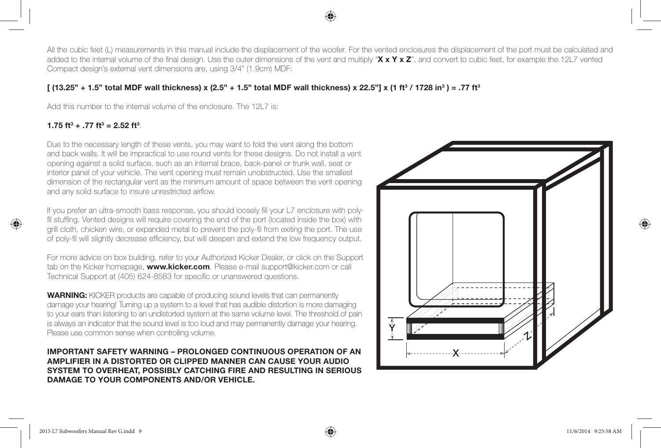All the cubic feet (L) measurements in this manual include the displacement of the woofer. For the vented enclosures the displacement of the port must be calculated and added to the internal volume of the final design. Use the outer dimensions of the vent and multiply "X x Y x Z", and convert to cubic feet, for example the 12L7 vented Compact design's external vent dimensions are, using 3/4" (1.9cm) MDF:

#### **[** (13.25" + 1.5" total MDF wall thickness) x (2.5" + 1.5" total MDF wall thickness) x 22.5"] x (1 ft<sup>3</sup> / 1728 in<sup>3</sup>) = .77 ft<sup>3</sup>

Add this number to the internal volume of the enclosure. The 12L7 is:

#### **1.75 ft**<sup>3</sup> + .77 ft<sup>3</sup> = 2.52 ft<sup>3</sup>.

⊕

Due to the necessary length of these vents, you may want to fold the vent along the bottom and back walls. It will be impractical to use round vents for these designs. Do not install a vent opening against a solid surface, such as an internal brace, back-panel or trunk wall, seat or interior panel of your vehicle. The vent opening must remain unobstructed. Use the smallest dimension of the rectangular vent as the minimum amount of space between the vent opening and any solid surface to insure unrestricted airflow.

If you prefer an ultra-smooth bass response, you should loosely fill your L7 enclosure with polyfil stuffing. Vented designs will require covering the end of the port (located inside the box) with grill cloth, chicken wire, or expanded metal to prevent the poly-fil from exiting the port. The use of poly-fil will slightly decrease efficiency, but will deepen and extend the low frequency output.

For more advice on box building, refer to your Authorized Kicker Dealer, or click on the Support tab on the Kicker homepage, **www.kicker.com**. Please e-mail support@kicker.com or call Technical Support at (405) 624-8583 for specific or unanswered questions.

**WARNING:** KICKER products are capable of producing sound levels that can permanently damage your hearing! Turning up a system to a level that has audible distortion is more damaging to your ears than listening to an undistorted system at the same volume level. The threshold of pain is always an indicator that the sound level is too loud and may permanently damage your hearing. Please use common sense when controlling volume.

**IMPORTANT SAFETY WARNING – PROLONGED CONTINUOUS OPERATION OF AN AMPLIFIER IN A DISTORTED OR CLIPPED MANNER CAN CAUSE YOUR AUDIO SYSTEM TO OVERHEAT, POSSIBLY CATCHING FIRE AND RESULTING IN SERIOUS DAMAGE TO YOUR COMPONENTS AND/OR VEHICLE.**

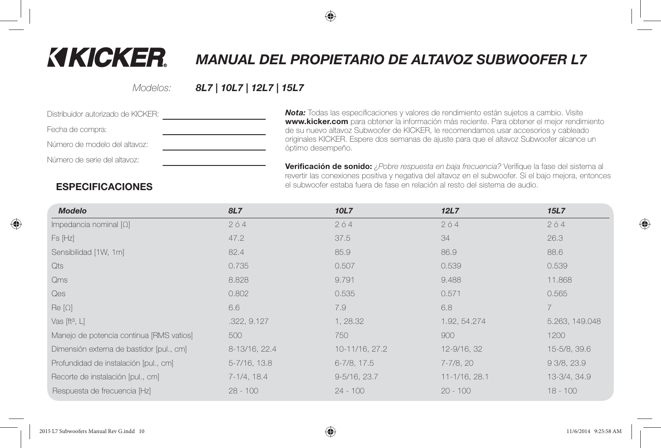# **KIKICKER.**

# *MANUAL DEL PROPIETARIO DE ALTAVOZ SUBWOOFER L7*

Modelos:

#### *8L7 | 10L7 | 12L7 | 15L7*

| Distribuidor autorizado de KICKFR: |  |
|------------------------------------|--|
| Fecha de compra:                   |  |
| Número de modelo del altavoz:      |  |
| Número de serie del altavoz:       |  |
|                                    |  |

**Nota:** Todas las especificaciones y valores de rendimiento están sujetos a cambio. Visite **www.kicker.com** para obtener la información más reciente. Para obtener el mejor rendimiento de su nuevo altavoz Subwoofer de KICKER, le recomendamos usar accesorios y cableado originales KICKER. Espere dos semanas de ajuste para que el altavoz Subwoofer alcance un óptimo desempeño.

**Verificación de sonido:** *¿Pobre respuesta en baja frecuencia?* Verifique la fase del sistema al revertir las conexiones positiva y negativa del altavoz en el subwoofer. Si el bajo mejora, entonces el subwoofer estaba fuera de fase en relación al resto del sistema de audio.

#### **ESPECIFICACIONES**

| <b>Modelo</b>                            | 8L7               | 10L7              | 12L7          | <b>15L7</b>    |
|------------------------------------------|-------------------|-------------------|---------------|----------------|
| Impedancia nominal $[\Omega]$            | 204               | 204               | 204           | 204            |
| Fs [Hz]                                  | 47.2              | 37.5              | 34            | 26.3           |
| Sensibilidad [1W, 1m]                    | 82.4              | 85.9              | 86.9          | 88.6           |
| Qts                                      | 0.735             | 0.507             | 0.539         | 0.539          |
| Qms                                      | 8.828             | 9.791             | 9.488         | 11.868         |
| Qes                                      | 0.802             | 0.535             | 0.571         | 0.565          |
| $\text{Re}[\Omega]$                      | 6.6               | 7.9               | 6.8           |                |
| Vas $[ft^3, L]$                          | .322, 9.127       | 1, 28.32          | 1.92, 54.274  | 5.263, 149.048 |
| Manejo de potencia continua [RMS vatios] | 500               | 750               | 900           | 1200           |
| Dimensión externa de bastidor [pul., cm] | 8-13/16, 22.4     | 10-11/16, 27.2    | 12-9/16, 32   | 15-5/8, 39.6   |
| Profundidad de instalación [pul., cm]    | $5 - 7/16$ , 13.8 | 6-7/8, 17.5       | 7-7/8, 20     | 93/8,23.9      |
| Recorte de instalación [pul., cm]        | $7-1/4$ , 18.4    | $9 - 5/16$ , 23.7 | 11-1/16, 28.1 | 13-3/4, 34.9   |
| Respuesta de frecuencia [Hz]             | $28 - 100$        | $24 - 100$        | $20 - 100$    | $18 - 100$     |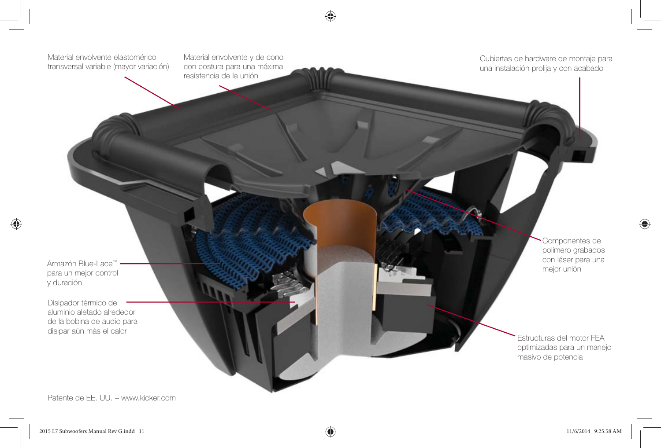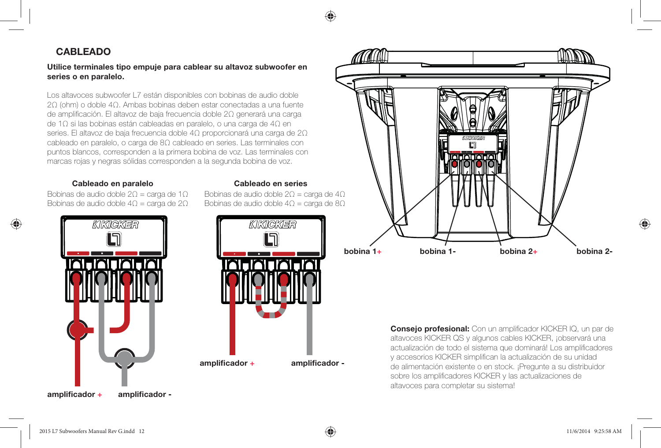#### **CABLEADO**

#### **Utilice terminales tipo empuje para cablear su altavoz subwoofer en series o en paralelo.**

Los altavoces subwoofer L7 están disponibles con bobinas de audio doble 2Ω (ohm) o doble 4Ω. Ambas bobinas deben estar conectadas a una fuente de amplificación. El altavoz de baja frecuencia doble 2Ω generará una carga de 1Ω si las bobinas están cableadas en paralelo, o una carga de 4Ω en series. El altavoz de baja frecuencia doble 4Ω proporcionará una carga de 2Ω cableado en paralelo, o carga de 8Ω cableado en series. Las terminales con puntos blancos, corresponden a la primera bobina de voz. Las terminales con marcas rojas y negras sólidas corresponden a la segunda bobina de voz.

#### **Cableado en paralelo Cableado en series**

Bobinas de audio doble 2 $\Omega$  = carga de 1 $\Omega$ Bobinas de audio doble 4Ω = carga de 2Ω



Bobinas de audio doble 2Ω = carga de 4Ω Bobinas de audio doble 4 $\Omega$  = carga de 8 $\Omega$ 





**Consejo profesional:** Con un amplificador KICKER IQ, un par de altavoces KICKER QS y algunos cables KICKER, ¡observará una actualización de todo el sistema que dominará! Los amplificadores y accesorios KICKER simplifican la actualización de su unidad de alimentación existente o en stock. ¡Pregunte a su distribuidor sobre los amplificadores KICKER y las actualizaciones de altavoces para completar su sistema!

amplificador +

♠

amplificador -

2015 L7 Subwoofers Manual Rev G.indd 12 23:558 AM (19) 2015 L7 Subwoofers Manual Rev G.indd 12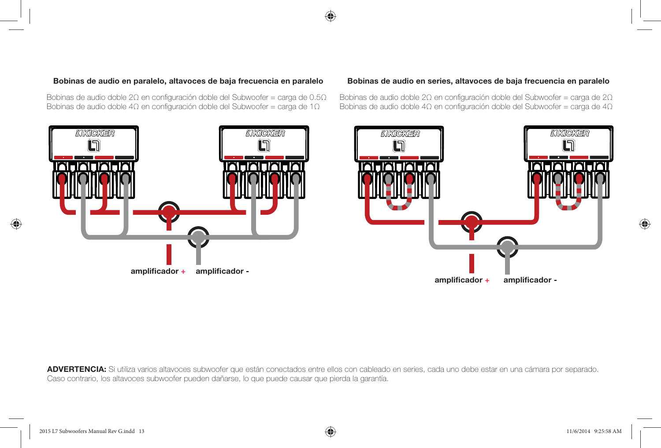⊕



KIKICKER

L)

amplificador -

Bobinas de audio doble 2Ω en configuración doble del Subwoofer = carga de 2Ω Bobinas de audio doble 4 $\Omega$  en configuración doble del Subwoofer = carga de 4 $\Omega$ 



Bobinas de audio doble 2Ω en configuración doble del Subwoofer = carga de 0.5Ω Bobinas de audio doble 4 $\Omega$  en configuración doble del Subwoofer = carga de 1 $\Omega$ 

#### **Bobinas de audio en paralelo, altavoces de baja frecuencia en paralelo Bobinas de audio en series, altavoces de baja frecuencia en paralelo**

11/6/2014 9:25:58 AM

**ADVERTENCIA:** Si utiliza varios altavoces subwoofer que están conectados entre ellos con cableado en series, cada uno debe estar en una cámara por separado. Caso contrario, los altavoces subwoofer pueden dañarse, lo que puede causar que pierda la garantía.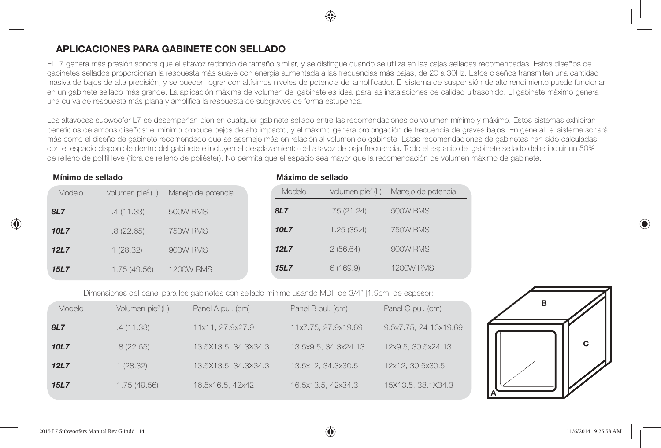#### **APLICACIONES PARA GABINETE CON SELLADO**

El L7 genera más presión sonora que el altavoz redondo de tamaño similar, y se distingue cuando se utiliza en las cajas selladas recomendadas. Estos diseños de gabinetes sellados proporcionan la respuesta más suave con energía aumentada a las frecuencias más bajas, de 20 a 30Hz. Estos diseños transmiten una cantidad masiva de bajos de alta precisión, y se pueden lograr con altísimos niveles de potencia del amplificador. El sistema de suspensión de alto rendimiento puede funcionar en un gabinete sellado más grande. La aplicación máxima de volumen del gabinete es ideal para las instalaciones de calidad ultrasonido. El gabinete máximo genera una curva de respuesta más plana y amplifica la respuesta de subgraves de forma estupenda.

Los altavoces subwoofer L7 se desempeñan bien en cualquier gabinete sellado entre las recomendaciones de volumen mínimo y máximo. Estos sistemas exhibirán beneficios de ambos diseños: el mínimo produce bajos de alto impacto, y el máximo genera prolongación de frecuencia de graves bajos. En general, el sistema sonará más como el diseño de gabinete recomendado que se asemeje más en relación al volumen de gabinete. Estas recomendaciones de gabinetes han sido calculadas con el espacio disponible dentro del gabinete e incluyen el desplazamiento del altavoz de baja frecuencia. Todo el espacio del gabinete sellado debe incluir un 50% de relleno de polifil leve (fibra de relleno de poliéster). No permita que el espacio sea mayor que la recomendación de volumen máximo de gabinete.

**Máximo de sellado**

Manejo de potencia

*8L7* .75 (21.24) 500W RMS 750W RMS *12L7* 2 (56.64) 900W RMS **1200W RMS** 

#### **Mínimo de sellado**

| Modelo | Volumen pie <sup>3</sup> (L) | Manejo de potencia | Modelo      | Volumen pi |
|--------|------------------------------|--------------------|-------------|------------|
| 8L7    | .4 (11.33)                   | 500W RMS           | 8L7         | .75(21.24) |
| 10L7   | .8(22.65)                    | 750W RMS           | 10L7        | 1.25(35.4) |
| 12L7   | 1(28.32)                     | 900W RMS           | 12L7        | 2(56.64)   |
| 15L7   | 1.75(49.56)                  | <b>1200W RMS</b>   | <b>15L7</b> | 6(169.9)   |

Dimensiones del panel para los gabinetes con sellado mínimo usando MDF de 3/4" [1.9cm] de espesor:

| Modelo     | Volumen pie <sup>3</sup> (L) | Panel A pul. (cm)    | Panel B pul. (cm)    | Panel C pul. (cm)     |
|------------|------------------------------|----------------------|----------------------|-----------------------|
| <b>8L7</b> | .4(11.33)                    | 11x11, 27.9x27.9     | 11x7.75, 27.9x19.69  | 9.5x7.75, 24.13x19.69 |
| 10L7       | .8(22.65)                    | 13.5X13.5, 34.3X34.3 | 13.5x9.5, 34.3x24.13 | 12x9.5, 30.5x24.13    |
| 12L7       | 1(28.32)                     | 13.5X13.5, 34.3X34.3 | 13.5x12, 34.3x30.5   | 12x12, 30.5x30.5      |
| 15L7       | 1.75(49.56)                  | 16.5x16.5, 42x42     | 16.5x13.5, 42x34.3   | 15X13.5, 38.1X34.3    |

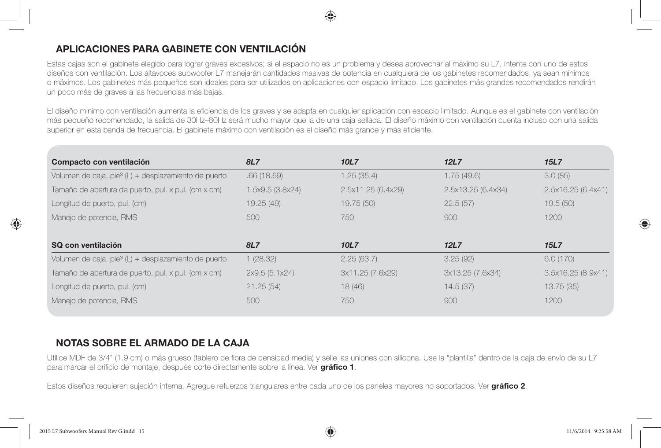#### **APLICACIONES PARA GABINETE CON VENTILACIÓN**

Estas cajas son el gabinete elegido para lograr graves excesivos; si el espacio no es un problema y desea aprovechar al máximo su L7, intente con uno de estos diseños con ventilación. Los altavoces subwoofer L7 manejarán cantidades masivas de potencia en cualquiera de los gabinetes recomendados, ya sean mínimos o máximos. Los gabinetes más pequeños son ideales para ser utilizados en aplicaciones con espacio limitado. Los gabinetes más grandes recomendados rendirán un poco más de graves a las frecuencias más bajas.

El diseño mínimo con ventilación aumenta la eficiencia de los graves y se adapta en cualquier aplicación con espacio limitado. Aunque es el gabinete con ventilación más pequeño recomendado, la salida de 30Hz–80Hz será mucho mayor que la de una caja sellada. El diseño máximo con ventilación cuenta incluso con una salida superior en esta banda de frecuencia. El gabinete máximo con ventilación es el diseño más grande y más eficiente.

| Compacto con ventilación                                         | 8L7              | 10L7               | <b>12L7</b>        | <b>15L7</b>        |
|------------------------------------------------------------------|------------------|--------------------|--------------------|--------------------|
| Volumen de caja, pie $3(L)$ + desplazamiento de puerto           | .66(18.69)       | 1.25(35.4)         | 1.75(49.6)         | 3.0(85)            |
| Tamaño de abertura de puerto, pul. x pul. (cm x cm)              | 1.5x9.5 (3.8x24) | 2.5x11.25 (6.4x29) | 2.5x13.25 (6.4x34) | 2.5x16.25 (6.4x41) |
| Longitud de puerto, pul. (cm)                                    | 19.25 (49)       | 19.75 (50)         | 22.5(57)           | 19.5(50)           |
| Manejo de potencia, RMS                                          | 500              | 750                | 900                | 1200               |
|                                                                  |                  |                    |                    |                    |
| SQ con ventilación                                               |                  |                    |                    |                    |
|                                                                  | 8L7              | 10L7               | 12L7               | <b>15L7</b>        |
| Volumen de caja, pie <sup>3</sup> (L) + desplazamiento de puerto | 1(28.32)         | 2.25(63.7)         | 3.25(92)           | 6.0(170)           |
| Tamaño de abertura de puerto, pul. x pul. (cm x cm)              | 2x9.5 (5.1x24)   | 3x11.25 (7.6x29)   | 3x13.25 (7.6x34)   | 3.5x16.25 (8.9x41) |
| Longitud de puerto, pul. (cm)                                    | 21.25(54)        | 18(46)             | 14.5(37)           | 13.75(35)          |
|                                                                  |                  |                    |                    |                    |

#### **NOTAS SOBRE EL ARMADO DE LA CAJA**

Utilice MDF de 3/4" (1.9 cm) o más grueso (tablero de fibra de densidad media) y selle las uniones con silicona. Use la "plantilla" dentro de la caja de envío de su L7 para marcar el orificio de montaje, después corte directamente sobre la línea. Ver gráfico 1.

Estos diseños requieren sujeción interna. Agregue refuerzos triangulares entre cada uno de los paneles mayores no soportados. Ver **gráfi co 2**.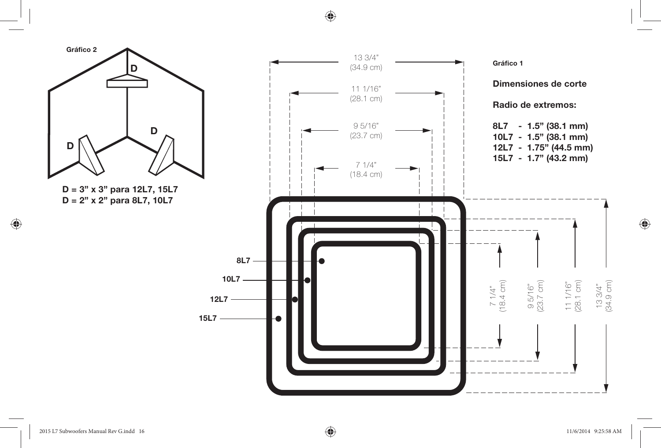⊕



 $\bigoplus$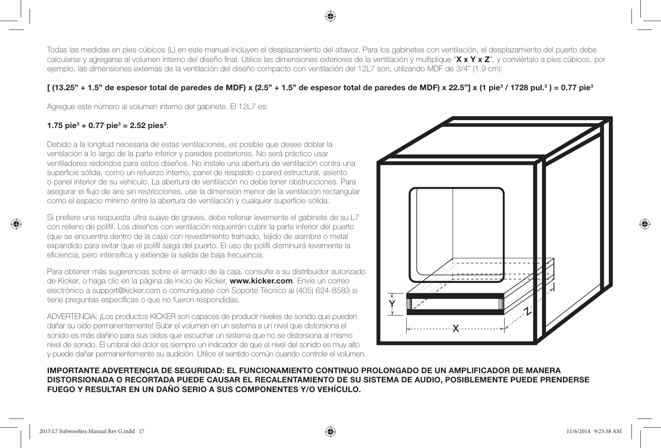Todas las medidas en pies cúbicos (L) en este manual incluyen el desplazamiento del altavoz. Para los gabinetes con ventilación, el desplazamiento del puerto debe calcularse y agregarse al volumen interno del diseño final. Utilice las dimensiones exteriores de la ventilación y multiplique "**X x Y x Z**", y conviértalo a pies cúbicos, por ejemplo, las dimensiones externas de la ventilación del diseño compacto con ventilación del 12L7 son, utilizando MDF de 3/4" (1.9 cm):

#### $[$  (13.25" + 1.5" de espesor total de paredes de MDF) x (2.5" + 1.5" de espesor total de paredes de MDF) x 22.5"] x (1 pie<sup>3</sup> / 1728 pul.<sup>3</sup>) = 0.77 pie<sup>3</sup>

Agregue este número al volumen interno del gabinete. El 12L7 es:

#### **1.75 pie3 + 0.77 pie3 = 2.52 pies3** .

⊕

Debido a la longitud necesaria de estas ventilaciones, es posible que desee doblar la ventilación a lo largo de la parte inferior y paredes posteriores. No será práctico usar ventiladores redondos para estos diseños. No instale una abertura de ventilación contra una superficie sólida, como un refuerzo interno, panel de respaldo o pared estructural, asiento o panel interior de su vehículo. La abertura de ventilación no debe tener obstrucciones. Para asegurar el flujo de aire sin restricciones, use la dimensión menor de la ventilación rectangular como el espacio mínimo entre la abertura de ventilación y cualquier superficie sólida.

Si prefiere una respuesta ultra suave de graves, debe rellenar levemente el gabinete de su L7 con relleno de polifil. Los diseños con ventilación requerirán cubrir la parte inferior del puerto (que se encuentra dentro de la caja) con revestimiento tramado, tejido de alambre o metal expandido para evitar que el polifil salga del puerto. El uso de polifil disminuirá levemente la eficiencia, pero intensifica y extiende la salida de baja frecuencia.

Para obtener más sugerencias sobre el armado de la caja, consulte a su distribuidor autorizado de Kicker, o haga clic en la página de inicio de Kicker, **www.kicker.com**. Envíe un correo electrónico a support@kicker.com o comuníquese con Soporte Técnico al (405) 624-8583 si tiene preguntas específicas o que no fueron respondidas.

ADVERTENCIA: ¡Los productos KICKER son capaces de producir niveles de sonido que pueden dañar su oído permanentemente! Subir el volumen en un sistema a un nivel que distorsiona el sonido es más dañino para sus oídos que escuchar un sistema que no se distorsiona al mismo nivel de sonido. El umbral del dolor es siempre un indicador de que el nivel del sonido es muy alto y puede dañar permanentemente su audición. Utilice el sentido común cuando controle el volumen.



#### **IMPORTANTE ADVERTENCIA DE SEGURIDAD: EL FUNCIONAMIENTO CONTINUO PROLONGADO DE UN AMPLIFICADOR DE MANERA DISTORSIONADA O RECORTADA PUEDE CAUSAR EL RECALENTAMIENTO DE SU SISTEMA DE AUDIO, POSIBLEMENTE PUEDE PRENDERSE FUEGO Y RESULTAR EN UN DAÑO SERIO A SUS COMPONENTES Y/O VEHÍCULO.**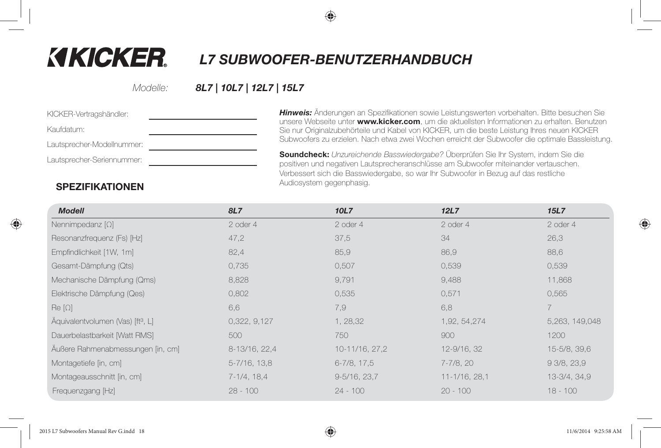

# **KIKICKER.**

 *L7 SUBWOOFER-BENUTZERHANDBUCH*

Modelle:

## *8L7 | 10L7 | 12L7 | 15L7*

| KICKER-Vertragshändler:    | <b>Hinweis</b>                   |
|----------------------------|----------------------------------|
| Kaufdatum:                 | unsere W<br>Sie nur C            |
| Lautsprecher-Modellnummer: | Subwoof                          |
| Lautsprecher-Seriennummer: | Soundcl<br>positiven<br>Verbesse |

 $:$  Änderungen an Spezifikationen sowie Leistungswerten vorbehalten. Bitte besuchen Sie Vebseite unter **www.kicker.com**, um die aktuellsten Informationen zu erhalten. Benutzen Driginalzubehörteile und Kabel von KICKER, um die beste Leistung Ihres neuen KICKER fers zu erzielen. Nach etwa zwei Wochen erreicht der Subwoofer die optimale Bassleistung.

**Soundcheck:** Unzureichende Basswiedergabe? Überprüfen Sie Ihr System, indem Sie die und negativen Lautsprecheranschlüsse am Subwoofer miteinander vertauschen. ert sich die Basswiedergabe, so war Ihr Subwoofer in Bezug auf das restliche Audiosystem gegenphasig.

#### **SPEZIFIKATIONEN**

| <b>Modell</b>                                 | 8L7               | 10L7              | 12L7          | 15L7           |
|-----------------------------------------------|-------------------|-------------------|---------------|----------------|
| Nennimpedanz $[\Omega]$                       | 2 oder 4          | 2 oder 4          | 2 oder 4      | 2 oder 4       |
| Resonanzfrequenz (Fs) [Hz]                    | 47,2              | 37,5              | 34            | 26,3           |
| Empfindlichkeit [1W, 1m]                      | 82,4              | 85,9              | 86,9          | 88,6           |
| Gesamt-Dämpfung (Qts)                         | 0,735             | 0,507             | 0,539         | 0,539          |
| Mechanische Dämpfung (Qms)                    | 8,828             | 9,791             | 9,488         | 11,868         |
| Elektrische Dämpfung (Qes)                    | 0,802             | 0,535             | 0,571         | 0,565          |
| $\text{Re}[\Omega]$                           | 6,6               | 7,9               | 6,8           | $\overline{7}$ |
| Äquivalentvolumen (Vas) [ft <sup>3</sup> , L] | 0,322, 9,127      | 1, 28, 32         | 1,92, 54, 274 | 5,263, 149,048 |
| Dauerbelastbarkeit [Watt RMS]                 | 500               | 750               | 900           | 1200           |
| Äußere Rahmenabmessungen [in, cm]             | 8-13/16, 22,4     | 10-11/16, 27, 2   | 12-9/16, 32   | 15-5/8, 39,6   |
| Montagetiefe [in, cm]                         | $5 - 7/16$ , 13,8 | 6-7/8, 17,5       | 7-7/8, 20     | 93/8,23,9      |
| Montageausschnitt [in, cm]                    | 7-1/4, 18,4       | $9 - 5/16$ , 23,7 | 11-1/16, 28,1 | 13-3/4, 34,9   |
| Frequenzgang [Hz]                             | $28 - 100$        | $24 - 100$        | $20 - 100$    | $18 - 100$     |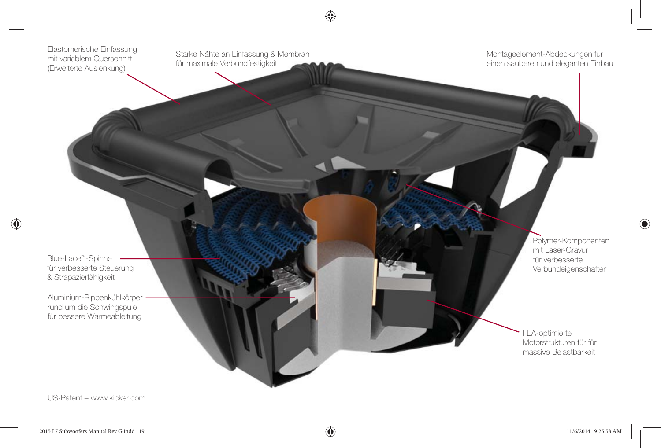

US-Patent – www.kicker.com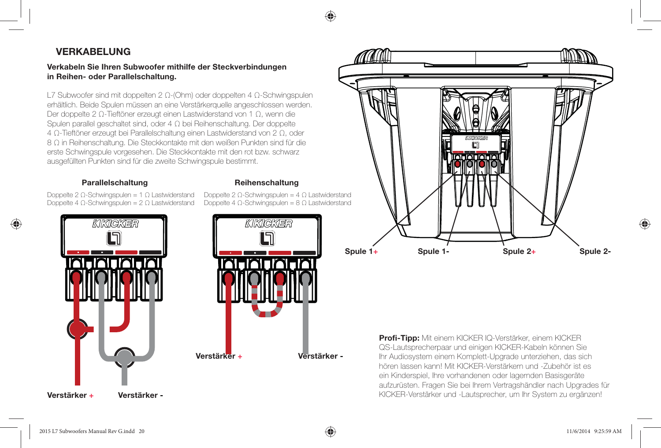## **VERKABELUNG**

**Verkabeln Sie Ihren Subwoofer mithilfe der Steckverbindungen in Reihen- oder Parallelschaltung.**

L7 Subwoofer sind mit doppelten 2 Ω-(Ohm) oder doppelten 4 Ω-Schwingspulen erhältlich. Beide Spulen müssen an eine Verstärkerquelle angeschlossen werden. Der doppelte 2 Ω-Tieftöner erzeugt einen Lastwiderstand von 1 Ω, wenn die Spulen parallel geschaltet sind, oder 4 Ω bei Reihenschaltung. Der doppelte 4 Ω-Tieftöner erzeugt bei Parallelschaltung einen Lastwiderstand von 2 Ω, oder 8 Ω in Reihenschaltung. Die Steckkontakte mit den weißen Punkten sind für die erste Schwingspule vorgesehen. Die Steckkontakte mit den rot bzw. schwarz ausgefüllten Punkten sind für die zweite Schwingspule bestimmt.

#### **Parallelschaltung Reihenschaltung**

Doppelte 2 Ω-Schwingspulen = 1 Ω Lastwiderstand Doppelte 4 Ω-Schwingspulen = 2 Ω Lastwiderstand





Doppelte 2 Ω-Schwingspulen = 4 Ω Lastwiderstand Doppelte 4 Ω-Schwingspulen = 8 Ω Lastwiderstand



**Verstärker +**

♠

**Verstärker -**



**Profi-Tipp:** Mit einem KICKER IQ-Verstärker, einem KICKER QS-Lautsprecherpaar und einigen KICKER-Kabeln können Sie Ihr Audiosystem einem Komplett-Upgrade unterziehen, das sich hören lassen kann! Mit KICKER-Verstärkern und -Zubehör ist es ein Kinderspiel, Ihre vorhandenen oder lagernden Basisgeräte aufzurüsten. Fragen Sie bei Ihrem Vertragshändler nach Upgrades für KICKER-Verstärker und -Lautsprecher, um Ihr System zu ergänzen!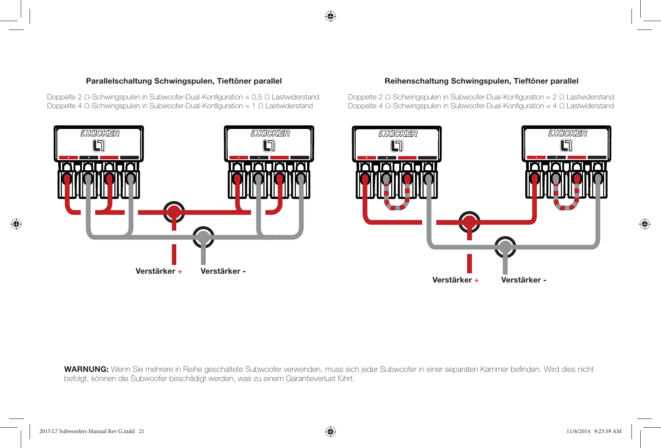

Doppelte 2 Ω-Schwingspulen in Subwoofer-Dual-Konfiguration =  $0,5 Ω$  Lastwiderstand Doppelte 4 Ω-Schwingspulen in Subwoofer-Dual-Konfiguration = 1 Ω Lastwiderstand

Doppelte 2 Ω-Schwingspulen in Subwoofer-Dual-Konfiguration =  $2 Ω$  Lastwiderstand Doppelte 4 Ω-Schwingspulen in Subwoofer-Dual-Konfiguration =  $4 \Omega$  Lastwiderstand



♠

WARNUNG: Wenn Sie mehrere in Reihe geschaltete Subwoofer verwenden, muss sich jeder Subwoofer in einer separaten Kammer befinden. Wird dies nicht befolgt, können die Subwoofer beschädigt werden, was zu einem Garantieverlust führt.

♠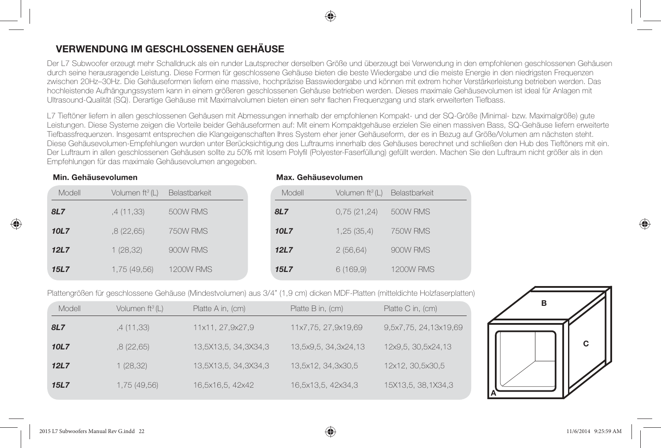#### **VERWENDUNG IM GESCHLOSSENEN GEHÄUSE**

Der L7 Subwoofer erzeugt mehr Schalldruck als ein runder Lautsprecher derselben Größe und überzeugt bei Verwendung in den empfohlenen geschlossenen Gehäusen durch seine herausragende Leistung. Diese Formen für geschlossene Gehäuse bieten die beste Wiedergabe und die meiste Energie in den niedrigsten Frequenzen zwischen 20Hz–30Hz. Die Gehäuseformen liefern eine massive, hochpräzise Basswiedergabe und können mit extrem hoher Verstärkerleistung betrieben werden. Das hochleistende Aufhängungssystem kann in einem größeren geschlossenen Gehäuse betrieben werden. Dieses maximale Gehäusevolumen ist ideal für Anlagen mit Ultrasound-Qualität (SQ). Derartige Gehäuse mit Maximalvolumen bieten einen sehr flachen Frequenzgang und stark erweiterten Tiefbass.

L7 Tieftöner liefern in allen geschlossenen Gehäusen mit Abmessungen innerhalb der empfohlenen Kompakt- und der SQ-Größe (Minimal- bzw. Maximalgröße) gute Leistungen. Diese Systeme zeigen die Vorteile beider Gehäuseformen auf: Mit einem Kompaktgehäuse erzielen Sie einen massiven Bass, SQ-Gehäuse liefern erweiterte Tiefbassfrequenzen. Insgesamt entsprechen die Klangeigenschaften Ihres System eher jener Gehäuseform, der es in Bezug auf Größe/Volumen am nächsten steht. Diese Gehäusevolumen-Empfehlungen wurden unter Berücksichtigung des Luftraums innerhalb des Gehäuses berechnet und schließen den Hub des Tieftöners mit ein. Der Luftraum in allen geschlossenen Gehäusen sollte zu 50% mit losem Polyfi l (Polyester-Faserfüllung) gefüllt werden. Machen Sie den Luftraum nicht größer als in den Empfehlungen für das maximale Gehäusevolumen angegeben.

**Max. Gehäusevolumen**

#### **Min. Gehäusevolumen**

♠

| Modell      | Volumen ft <sup>3</sup> (L) | Belastbarkeit    | Modell      | Volumen $ft^3(L)$ | Belastbarkeit    |
|-------------|-----------------------------|------------------|-------------|-------------------|------------------|
| 8L7         | ,4 (11,33)                  | 500W RMS         | 8L7         | 0,75(21,24)       | 500W RMS         |
| 10L7        | .8(22,65)                   | 750W RMS         | 10L7        | 1,25(35,4)        | 750W RMS         |
| 12L7        | 1(28,32)                    | 900W RMS         | 12L7        | 2(56,64)          | 900W RMS         |
| <b>15L7</b> | 1,75 (49,56)                | <b>1200W RMS</b> | <b>15L7</b> | 6(169,9)          | <b>1200W RMS</b> |

#### Plattengrößen für geschlossene Gehäuse (Mindestvolumen) aus 3/4" (1,9 cm) dicken MDF-Platten (mitteldichte Holzfaserplatten)

| Modell     | Volumen $ft^3(L)$ | Platte A in, (cm)    | Platte B in, (cm)    | Platte C in, (cm)     |
|------------|-------------------|----------------------|----------------------|-----------------------|
| <b>8L7</b> | ,4 (11,33)        | 11x11, 27,9x27,9     | 11x7,75, 27,9x19,69  | 9,5x7,75, 24,13x19,69 |
| 10L7       | .8(22.65)         | 13,5X13,5, 34,3X34,3 | 13,5x9,5, 34,3x24,13 | 12x9,5, 30,5x24,13    |
| 12L7       | 1(28,32)          | 13,5X13,5, 34,3X34,3 | 13,5x12, 34,3x30,5   | 12x12, 30,5x30,5      |
| 15L7       | 1,75 (49,56)      | 16,5x16,5, 42x42     | 16,5x13,5, 42x34,3   | 15X13,5, 38, 1X34, 3  |

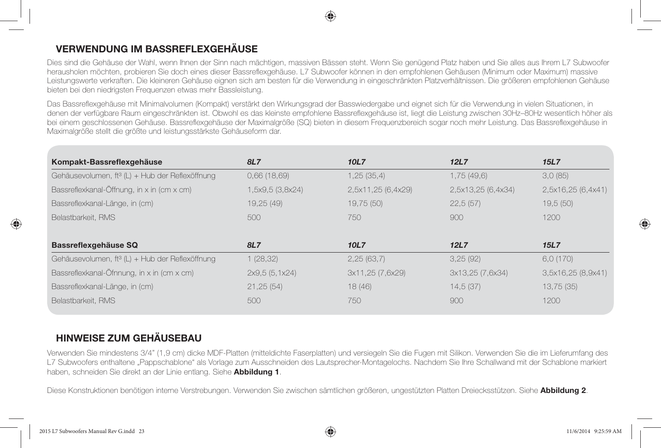## **VERWENDUNG IM BASSREFLEXGEHÄUSE**

Dies sind die Gehäuse der Wahl, wenn Ihnen der Sinn nach mächtigen, massiven Bässen steht. Wenn Sie genügend Platz haben und Sie alles aus Ihrem L7 Subwoofer herausholen möchten, probieren Sie doch eines dieser Bassreflexgehäuse. L7 Subwoofer können in den empfohlenen Gehäusen (Minimum oder Maximum) massive Leistungswerte verkraften. Die kleineren Gehäuse eignen sich am besten für die Verwendung in eingeschränkten Platzverhältnissen. Die größeren empfohlenen Gehäuse bieten bei den niedrigsten Frequenzen etwas mehr Bassleistung.

Das Bassreflexgehäuse mit Minimalvolumen (Kompakt) verstärkt den Wirkungsgrad der Basswiedergabe und eignet sich für die Verwendung in vielen Situationen, in denen der verfügbare Raum eingeschränkten ist. Obwohl es das kleinste empfohlene Bassreflexgehäuse ist, liegt die Leistung zwischen 30Hz–80Hz wesentlich höher als bei einem geschlossenen Gehäuse. Bassreflexgehäuse der Maximalgröße (SQ) bieten in diesem Frequenzbereich sogar noch mehr Leistung. Das Bassreflexgehäuse in Maximalgröße stellt die größte und leistungsstärkste Gehäuseform dar.

| Kompakt-Bassreflexgehäuse                                   | <b>8L7</b>       | 10L7               | 12L7               | 15L7               |
|-------------------------------------------------------------|------------------|--------------------|--------------------|--------------------|
| Gehäusevolumen, ft <sup>3</sup> (L) + Hub der Reflexöffnung | 0,66(18,69)      | 1,25(35,4)         | 1,75(49,6)         | 3.0(85)            |
| Bassreflexkanal-Öffnung, in x in (cm x cm)                  | 1,5x9,5 (3,8x24) | 2,5x11,25 (6,4x29) | 2,5x13,25 (6,4x34) | 2,5x16,25 (6,4x41) |
| Bassreflexkanal-Länge, in (cm)                              | 19,25 (49)       | 19,75 (50)         | 22,5(57)           | 19,5(50)           |
| Belastbarkeit, RMS                                          | 500              | 750                | 900                | 1200               |
|                                                             |                  |                    |                    |                    |
| Bassreflexgehäuse SQ                                        | 8L7              | 10L7               | 12L7               | 15L7               |
| Gehäusevolumen, ft <sup>3</sup> (L) + Hub der Reflexöffnung | 1(28,32)         | 2,25(63,7)         | 3,25(92)           | 6.0(170)           |
| Bassreflexkanal-Öfnnung, in x in (cm x cm)                  | 2x9,5 (5,1x24)   | 3x11,25 (7,6x29)   | 3x13,25 (7,6x34)   | 3,5x16,25 (8,9x41) |
| Bassreflexkanal-Länge, in (cm)                              | 21,25(54)        | 18(46)             | 14,5(37)           | 13,75 (35)         |
| Belastbarkeit, RMS                                          | 500              | 750                | 900                | 1200               |

## **HINWEISE ZUM GEHÄUSEBAU**

Verwenden Sie mindestens 3/4" (1,9 cm) dicke MDF-Platten (mitteldichte Faserplatten) und versiegeln Sie die Fugen mit Silikon. Verwenden Sie die im Lieferumfang des L7 Subwoofers enthaltene "Pappschablone" als Vorlage zum Ausschneiden des Lautsprecher-Montagelochs. Nachdem Sie Ihre Schallwand mit der Schablone markiert haben, schneiden Sie direkt an der Linie entlang. Siehe **Abbildung 1**.

Diese Konstruktionen benötigen interne Verstrebungen. Verwenden Sie zwischen sämtlichen größeren, ungestützten Platten Dreiecksstützen. Siehe **Abbildung 2**.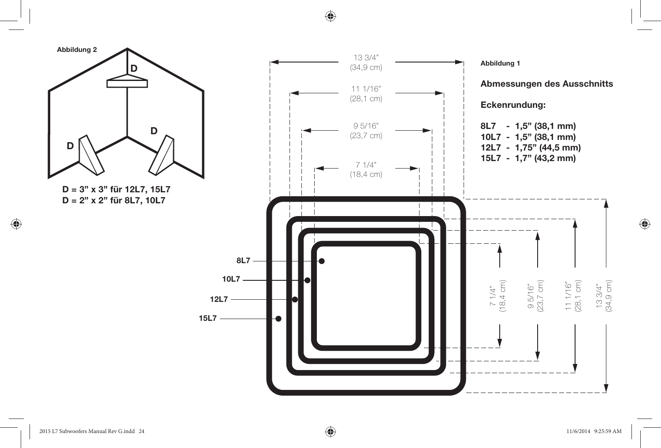

⊕

#### 2015 L7 Subwoofers Manual Rev G.indd 24 015 11/6/2014 9:25:59 AM

 $\bigoplus$ 

11/6/2014 9:25:59 AM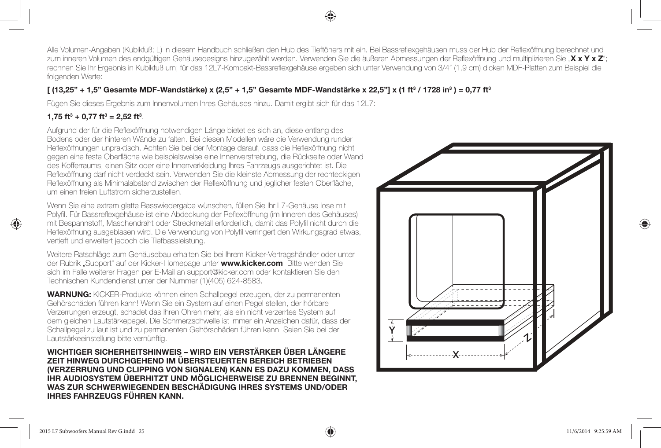Alle Volumen-Angaben (Kubikfuß; L) in diesem Handbuch schließen den Hub des Tieftöners mit ein. Bei Bassreflexgehäusen muss der Hub der Reflexöffnung berechnet und zum inneren Volumen des endgültigen Gehäusedesigns hinzugezählt werden. Verwenden Sie die äußeren Abmessungen der Reflexöffnung und multiplizieren Sie "X x Y x Z"; rechnen Sie Ihr Ergebnis in Kubikfuß um; für das 12L7-Kompakt-Bassreflexgehäuse ergeben sich unter Verwendung von 3/4" (1,9 cm) dicken MDF-Platten zum Beispiel die folgenden Werte:

#### $[$  (13,25" + 1,5" Gesamte MDF-Wandstärke) x (2,5" + 1,5" Gesamte MDF-Wandstärke x 22,5"] x (1 ft<sup>3</sup> / 1728 in<sup>3</sup>) = 0,77 ft<sup>3</sup>

Fügen Sie dieses Ergebnis zum Innenvolumen Ihres Gehäuses hinzu. Damit ergibt sich für das 12L7:

#### **1,75 ft3 + 0,77 ft3 = 2,52 ft3** .

⊕

Aufgrund der für die Reflexöffnung notwendigen Länge bietet es sich an, diese entlang des Bodens oder der hinteren Wände zu falten. Bei diesen Modellen wäre die Verwendung runder Reflexöffnungen unpraktisch. Achten Sie bei der Montage darauf, dass die Reflexöffnung nicht gegen eine feste Oberfläche wie beispielsweise eine Innenverstrebung, die Rückseite oder Wand des Kofferraums, einen Sitz oder eine Innenverkleidung Ihres Fahrzeugs ausgerichtet ist. Die Reflexöffnung darf nicht verdeckt sein. Verwenden Sie die kleinste Abmessung der rechteckigen Reflexöffnung als Minimalabstand zwischen der Reflexöffnung und jeglicher festen Oberfläche, um einen freien Luftstrom sicherzustellen.

Wenn Sie eine extrem glatte Basswiedergabe wünschen, füllen Sie Ihr L7-Gehäuse lose mit Polyfil. Für Bassreflexgehäuse ist eine Abdeckung der Reflexöffnung (im Inneren des Gehäuses) mit Bespannstoff, Maschendraht oder Streckmetall erforderlich, damit das Polyfi l nicht durch die Reflexöffnung ausgeblasen wird. Die Verwendung von Polyfil verringert den Wirkungsgrad etwas, vertieft und erweitert jedoch die Tiefbassleistung.

Weitere Ratschläge zum Gehäusebau erhalten Sie bei Ihrem Kicker-Vertragshändler oder unter der Rubrik "Support" auf der Kicker-Homepage unter **www.kicker.com**. Bitte wenden Sie sich im Falle weiterer Fragen per E-Mail an support@kicker.com oder kontaktieren Sie den Technischen Kundendienst unter der Nummer (1)(405) 624-8583.

**WARNUNG:** KICKER-Produkte können einen Schallpegel erzeugen, der zu permanenten Gehörschäden führen kann! Wenn Sie ein System auf einen Pegel stellen, der hörbare Verzerrungen erzeugt, schadet das Ihren Ohren mehr, als ein nicht verzerrtes System auf dem gleichen Lautstärkepegel. Die Schmerzschwelle ist immer ein Anzeichen dafür, dass der Schallpegel zu laut ist und zu permanenten Gehörschäden führen kann. Seien Sie bei der Lautstärkeeinstellung bitte vernünftig.

**WICHTIGER SICHERHEITSHINWEIS – WIRD EIN VERSTÄRKER ÜBER LÄNGERE ZEIT HINWEG DURCHGEHEND IM ÜBERSTEUERTEN BEREICH BETRIEBEN (VERZERRUNG UND CLIPPING VON SIGNALEN) KANN ES DAZU KOMMEN, DASS IHR AUDIOSYSTEM ÜBERHITZT UND MÖGLICHERWEISE ZU BRENNEN BEGINNT, WAS ZUR SCHWERWIEGENDEN BESCHÄDIGUNG IHRES SYSTEMS UND/ODER IHRES FAHRZEUGS FÜHREN KANN.**

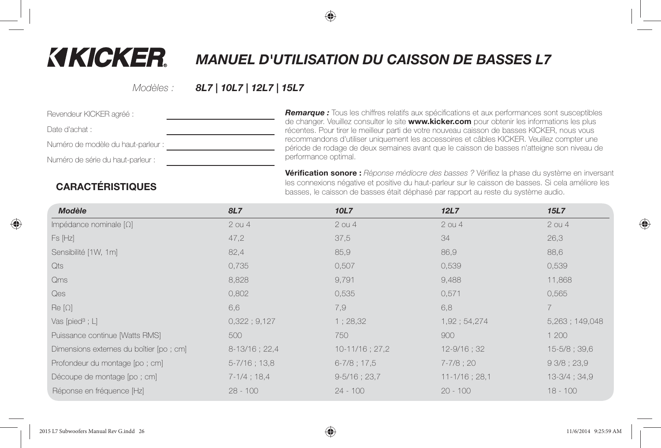# **KIKICKER.**

# *MANUEL D'UTILISATION DU CAISSON DE BASSES L7*

Modèles :

#### *8L7 | 10L7 | 12L7 | 15L7*

| Revendeur KICKER agréé :           |  |
|------------------------------------|--|
| Date d'achat :                     |  |
| Numéro de modèle du haut-parleur : |  |
| Numéro de série du haut-parleur :  |  |
|                                    |  |

**Remarque :** Tous les chiffres relatifs aux spécifications et aux performances sont susceptibles de changer. Veuillez consulter le site **www.kicker.com** pour obtenir les informations les plus récentes. Pour tirer le meilleur parti de votre nouveau caisson de basses KICKER, nous vous recommandons d'utiliser uniquement les accessoires et câbles KICKER. Veuillez compter une période de rodage de deux semaines avant que le caisson de basses n'atteigne son niveau de performance optimal.

**Vérification sonore :** Réponse médiocre des basses ? Vérifiez la phase du système en inversant les connexions négative et positive du haut-parleur sur le caisson de basses. Si cela améliore les basses, le caisson de basses était déphasé par rapport au reste du système audio.

# **CARACTÉRISTIQUES**

| <b>Modèle</b>                            | 8L7               | 10L7              | 12L7               | <b>15L7</b>     |
|------------------------------------------|-------------------|-------------------|--------------------|-----------------|
| Impédance nominale $[\Omega]$            | $2$ ou 4          | $2$ ou $4$        | $2$ ou $4$         | $2$ ou $4$      |
| Fs [Hz]                                  | 47,2              | 37,5              | 34                 | 26,3            |
| Sensibilité [1W, 1m]                     | 82,4              | 85,9              | 86,9               | 88,6            |
| Qts                                      | 0,735             | 0,507             | 0,539              | 0,539           |
| Qms                                      | 8,828             | 9,791             | 9,488              | 11,868          |
| <b>Qes</b>                               | 0,802             | 0,535             | 0,571              | 0,565           |
| $\text{Re}[\Omega]$                      | 6,6               | 7,9               | 6,8                | $\overline{7}$  |
| Vas [pied $3$ ; L]                       | 0.322:9.127       | 1;28,32           | 1,92; 54,274       | 5,263; 149,048  |
| Puissance continue [Watts RMS]           | 500               | 750               | 900                | 1 200           |
| Dimensions externes du boîtier [po ; cm] | $8-13/16$ ; 22,4  | $10-11/16$ ; 27,2 | $12 - 9/16$ ; 32   | 15-5/8; 39,6    |
| Profondeur du montage [po ; cm]          | $5 - 7/16$ ; 13,8 | $6 - 7/8$ ; 17,5  | $7 - 7/8$ ; 20     | 93/8:23.9       |
| Découpe de montage [po ; cm]             | $7-1/4$ ; 18,4    | $9 - 5/16$ ; 23,7 | $11 - 1/16$ ; 28,1 | $13-3/4$ ; 34,9 |
| Réponse en fréquence [Hz]                | $28 - 100$        | $24 - 100$        | $20 - 100$         | $18 - 100$      |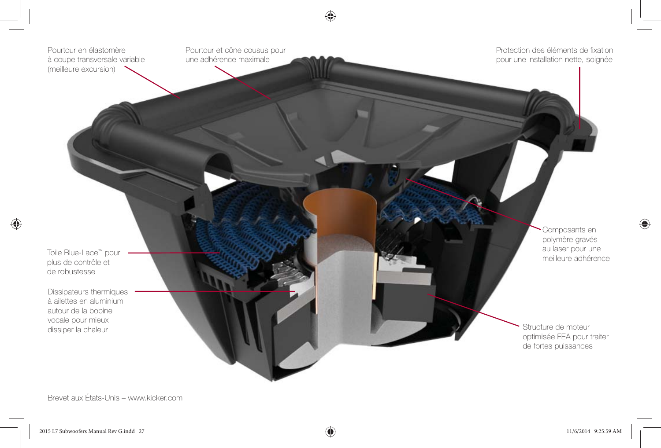

Brevet aux États-Unis – www.kicker.com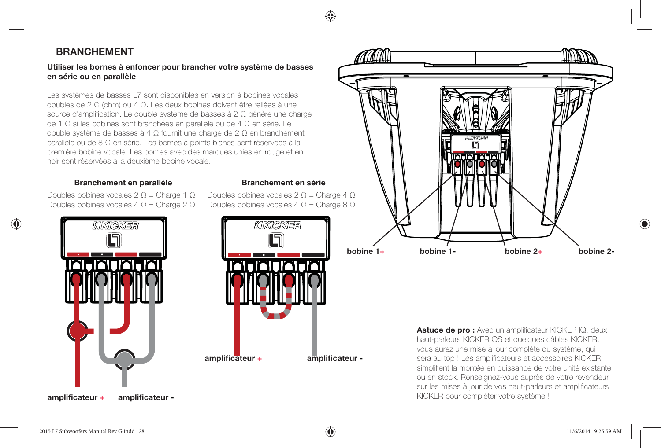#### **BRANCHEMENT**

#### **Utiliser les bornes à enfoncer pour brancher votre système de basses en série ou en parallèle**

Les systèmes de basses L7 sont disponibles en version à bobines vocales doubles de 2 Ω (ohm) ou 4 Ω. Les deux bobines doivent être reliées à une source d'amplification. Le double système de basses à 2  $\Omega$  génère une charge de 1 Ω si les bobines sont branchées en parallèle ou de 4 Ω en série. Le double système de basses à 4 Ω fournit une charge de 2 Ω en branchement parallèle ou de 8 Ω en série. Les bornes à points blancs sont réservées à la première bobine vocale. Les bornes avec des marques unies en rouge et en noir sont réservées à la deuxième bobine vocale.

#### **Branchement en parallèle Branchement en série**

Doubles bobines vocales  $2 Ω =$ Charge 1  $Ω$ Doubles bobines vocales  $4 Ω =$ Charge  $2 Ω$ 



Doubles bobines vocales  $2 Ω =$ Charge  $4 Ω$ Doubles bobines vocales  $4 Ω =$ Charge  $8 Ω$ 





**Astuce de pro :** Avec un amplificateur KICKER IQ, deux haut-parleurs KICKER QS et quelques câbles KICKER, vous aurez une mise à jour complète du système, qui sera au top ! Les amplificateurs et accessoires KICKER simplifient la montée en puissance de votre unité existante ou en stock. Renseignez-vous auprès de votre revendeur sur les mises à jour de vos haut-parleurs et amplificateurs KICKER pour compléter votre système !

**amplifi cateur +**

♠

amplificateur -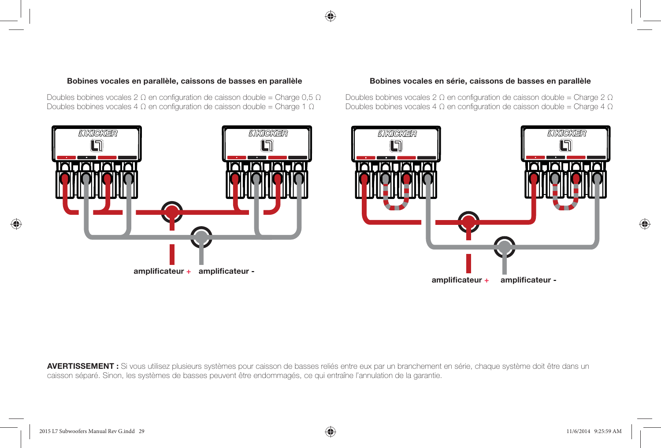#### **Bobines vocales en parallèle, caissons de basses en parallèle Bobines vocales en série, caissons de basses en parallèle**

Doubles bobines vocales 2  $\Omega$  en configuration de caisson double = Charge 0,5  $\Omega$ Doubles bobines vocales 4  $\Omega$  en configuration de caisson double = Charge 1  $\Omega$ 



Doubles bobines vocales 2  $\Omega$  en configuration de caisson double = Charge 2  $\Omega$ Doubles bobines vocales 4  $\Omega$  en configuration de caisson double = Charge 4  $\Omega$ 



**AVERTISSEMENT :** Si vous utilisez plusieurs systèmes pour caisson de basses reliés entre eux par un branchement en série, chaque système doit être dans un caisson séparé. Sinon, les systèmes de basses peuvent être endommagés, ce qui entraîne l'annulation de la garantie.

⊕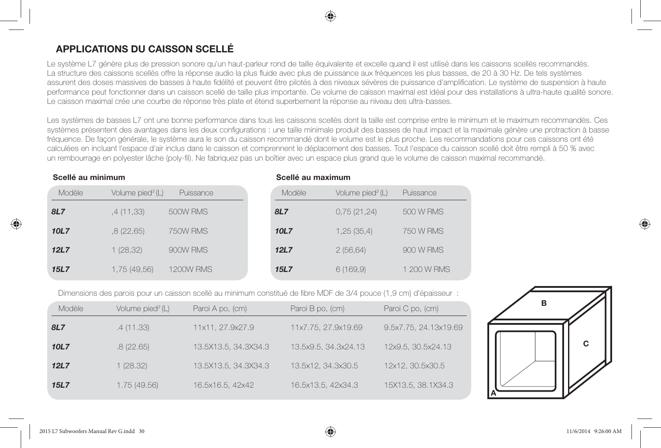## **APPLICATIONS DU CAISSON SCELLÉ**

Le système L7 génère plus de pression sonore qu'un haut-parleur rond de taille équivalente et excelle quand il est utilisé dans les caissons scellés recommandés. La structure des caissons scellés offre la réponse audio la plus fluide avec plus de puissance aux fréquences les plus basses, de 20 à 30 Hz. De tels systèmes assurent des doses massives de basses à haute fidélité et peuvent être pilotés à des niveaux sévères de puissance d'amplification. Le système de suspension à haute performance peut fonctionner dans un caisson scellé de taille plus importante. Ce volume de caisson maximal est idéal pour des installations à ultra-haute qualité sonore. Le caisson maximal crée une courbe de réponse très plate et étend superbement la réponse au niveau des ultra-basses.

Les systèmes de basses L7 ont une bonne performance dans tous les caissons scellés dont la taille est comprise entre le minimum et le maximum recommandés. Ces systèmes présentent des avantages dans les deux configurations : une taille minimale produit des basses de haut impact et la maximale génère une protraction à basse fréquence. De façon générale, le système aura le son du caisson recommandé dont le volume est le plus proche. Les recommandations pour ces caissons ont été calculées en incluant l'espace d'air inclus dans le caisson et comprennent le déplacement des basses. Tout l'espace du caisson scellé doit être rempli à 50 % avec un rembourrage en polyester lâche (poly-fil). Ne fabriquez pas un boîtier avec un espace plus grand que le volume de caisson maximal recommandé.

**Scellé au maximum**

#### **Scellé au minimum**

⊕

| Modèle      | Volume pied <sup>3</sup> (L) | Puissance        | Modèle      | Volume pied <sup>3</sup> (L) | Puissance        |
|-------------|------------------------------|------------------|-------------|------------------------------|------------------|
| 8L7         | ,4 (11,33)                   | 500W RMS         | 8L7         | 0,75(21,24)                  | 500 W RMS        |
| 10L7        | .8(22,65)                    | 750W RMS         | 10L7        | 1,25(35,4)                   | <b>750 W RMS</b> |
| 12L7        | 1(28,32)                     | 900W RMS         | 12L7        | 2(56,64)                     | 900 W RMS        |
| <b>15L7</b> | 1,75 (49,56)                 | <b>1200W RMS</b> | <b>15L7</b> | 6(169,9)                     | 1 200 W RMS      |

Dimensions des parois pour un caisson scellé au minimum constitué de fibre MDF de 3/4 pouce (1,9 cm) d'épaisseur :

| Modèle      | Volume pied <sup>3</sup> (L) | Paroi A po, (cm)     | Paroi B po, (cm)     | Paroi C po, (cm)      |
|-------------|------------------------------|----------------------|----------------------|-----------------------|
| 8L7         | .4(11.33)                    | 11x11, 27.9x27.9     | 11x7.75, 27.9x19.69  | 9.5x7.75, 24.13x19.69 |
| 10L7        | .8(22.65)                    | 13.5X13.5, 34.3X34.3 | 13.5x9.5, 34.3x24.13 | 12x9.5, 30.5x24.13    |
| 12L7        | 1(28.32)                     | 13.5X13.5, 34.3X34.3 | 13.5x12, 34.3x30.5   | 12x12, 30.5x30.5      |
| <b>15L7</b> | 1.75(49.56)                  | 16.5x16.5, 42x42     | 16.5x13.5, 42x34.3   | 15X13.5, 38.1X34.3    |





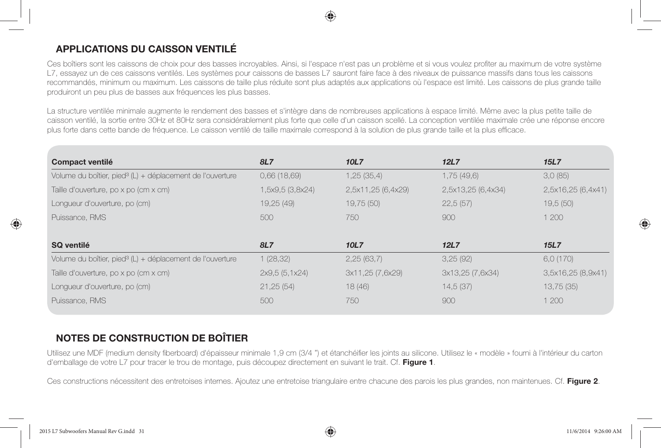

## **APPLICATIONS DU CAISSON VENTILÉ**

Ces boîtiers sont les caissons de choix pour des basses incroyables. Ainsi, si l'espace n'est pas un problème et si vous voulez profiter au maximum de votre système L7, essayez un de ces caissons ventilés. Les systèmes pour caissons de basses L7 sauront faire face à des niveaux de puissance massifs dans tous les caissons recommandés, minimum ou maximum. Les caissons de taille plus réduite sont plus adaptés aux applications où l'espace est limité. Les caissons de plus grande taille produiront un peu plus de basses aux fréquences les plus basses.

La structure ventilée minimale augmente le rendement des basses et s'intègre dans de nombreuses applications à espace limité. Même avec la plus petite taille de caisson ventilé, la sortie entre 30Hz et 80Hz sera considérablement plus forte que celle d'un caisson scellé. La conception ventilée maximale crée une réponse encore plus forte dans cette bande de fréquence. Le caisson ventilé de taille maximale correspond à la solution de plus grande taille et la plus efficace.

| Compact ventilé                                                       | <b>8L7</b>       | 10L7               | 12L7               | 15L7               |
|-----------------------------------------------------------------------|------------------|--------------------|--------------------|--------------------|
| Volume du boîtier, pied <sup>3</sup> (L) + déplacement de l'ouverture | 0,66(18,69)      | 1,25(35,4)         | 1,75(49,6)         | 3.0(85)            |
| Taille d'ouverture, po x po (cm x cm)                                 | 1,5x9,5 (3,8x24) | 2,5x11,25 (6,4x29) | 2,5x13,25 (6,4x34) | 2,5x16,25 (6,4x41) |
| Longueur d'ouverture, po (cm)                                         | 19,25 (49)       | 19,75 (50)         | 22,5(57)           | 19,5(50)           |
| Puissance, RMS                                                        | 500              | 750                | 900                | 1,200              |
|                                                                       |                  |                    |                    |                    |
| SQ ventilé                                                            | <b>8L7</b>       | <b>10L7</b>        | 12L7               | 15L7               |
| Volume du boîtier, pied <sup>3</sup> (L) + déplacement de l'ouverture | 1(28, 32)        | 2,25(63,7)         | 3,25(92)           | 6.0(170)           |
| Taille d'ouverture, po x po (cm x cm)                                 | 2x9.5(5.1x24)    | 3x11,25 (7,6x29)   | 3x13,25 (7,6x34)   | 3,5x16,25(8,9x41)  |
| Longueur d'ouverture, po (cm)                                         | 21,25(54)        | 18(46)             | 14,5(37)           | 13,75(35)          |
| Puissance, RMS                                                        | 500              | 750                | 900                | 1 200              |

## **NOTES DE CONSTRUCTION DE BOÎTIER**

Utilisez une MDF (medium density fiberboard) d'épaisseur minimale 1.9 cm (3/4 ") et étanchéifier les joints au silicone. Utilisez le « modèle » fourni à l'intérieur du carton d'emballage de votre L7 pour tracer le trou de montage, puis découpez directement en suivant le trait. Cf. **Figure 1**.

Ces constructions nécessitent des entretoises internes. Ajoutez une entretoise triangulaire entre chacune des parois les plus grandes, non maintenues. Cf. **Figure 2**.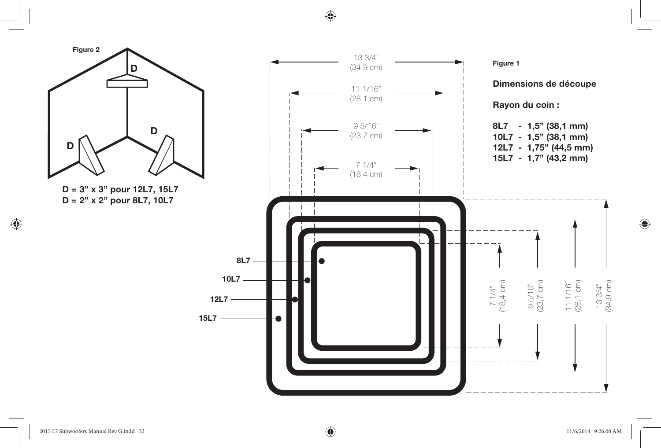⊕



 $\bigoplus$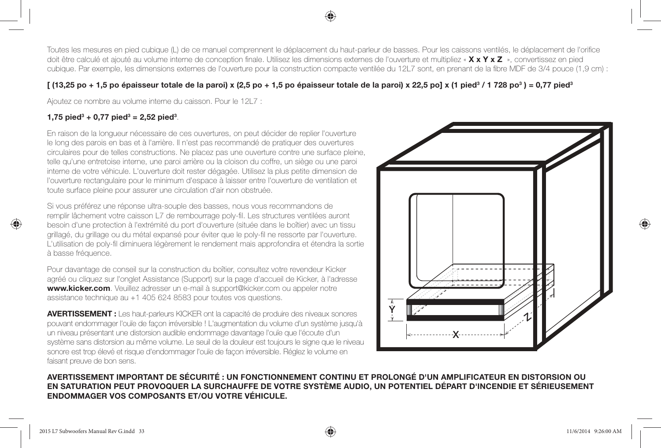Toutes les mesures en pied cubique (L) de ce manuel comprennent le déplacement du haut-parleur de basses. Pour les caissons ventilés, le déplacement de l'orifice doit être calculé et ajouté au volume interne de conception finale. Utilisez les dimensions externes de l'ouverture et multipliez « **X x Y x Z** », convertissez en pied cubique. Par exemple, les dimensions externes de l'ouverture pour la construction compacte ventilée du 12L7 sont, en prenant de la fibre MDF de 3/4 pouce (1,9 cm) :

#### $[$  (13,25 po + 1,5 po épaisseur totale de la paroi) x (2,5 po + 1,5 po épaisseur totale de la paroi) x 22,5 po] x (1 pied<sup>3</sup> / 1 728 po<sup>3</sup>) = 0,77 pied<sup>3</sup>

Ajoutez ce nombre au volume interne du caisson. Pour le 12L7 :

#### **1,75 pied3 + 0,77 pied3 = 2,52 pied3** .

⊕

En raison de la longueur nécessaire de ces ouvertures, on peut décider de replier l'ouverture le long des parois en bas et à l'arrière. Il n'est pas recommandé de pratiquer des ouvertures circulaires pour de telles constructions. Ne placez pas une ouverture contre une surface pleine, telle qu'une entretoise interne, une paroi arrière ou la cloison du coffre, un siège ou une paroi interne de votre véhicule. L'ouverture doit rester dégagée. Utilisez la plus petite dimension de l'ouverture rectangulaire pour le minimum d'espace à laisser entre l'ouverture de ventilation et toute surface pleine pour assurer une circulation d'air non obstruée.

Si vous préférez une réponse ultra-souple des basses, nous vous recommandons de remplir lâchement votre caisson L7 de rembourrage poly-fil. Les structures ventilées auront besoin d'une protection à l'extrémité du port d'ouverture (située dans le boîtier) avec un tissu grillagé, du grillage ou du métal expansé pour éviter que le poly-fi l ne ressorte par l'ouverture. L'utilisation de poly-fi l diminuera légèrement le rendement mais approfondira et étendra la sortie à basse fréquence.

Pour davantage de conseil sur la construction du boîtier, consultez votre revendeur Kicker agréé ou cliquez sur l'onglet Assistance (Support) sur la page d'accueil de Kicker, à l'adresse **www.kicker.com**. Veuillez adresser un e-mail à support@kicker.com ou appeler notre assistance technique au +1 405 624 8583 pour toutes vos questions.

**AVERTISSEMENT :** Les haut-parleurs KICKER ont la capacité de produire des niveaux sonores pouvant endommager l'ouïe de façon irréversible ! L'augmentation du volume d'un système jusqu'à un niveau présentant une distorsion audible endommage davantage l'ouïe que l'écoute d'un système sans distorsion au même volume. Le seuil de la douleur est toujours le signe que le niveau sonore est trop élevé et risque d'endommager l'ouïe de façon irréversible. Réglez le volume en faisant preuve de bon sens.



#### **AVERTISSEMENT IMPORTANT DE SÉCURITÉ : UN FONCTIONNEMENT CONTINU ET PROLONGÉ D'UN AMPLIFICATEUR EN DISTORSION OU EN SATURATION PEUT PROVOQUER LA SURCHAUFFE DE VOTRE SYSTÈME AUDIO, UN POTENTIEL DÉPART D'INCENDIE ET SÉRIEUSEMENT ENDOMMAGER VOS COMPOSANTS ET/OU VOTRE VÉHICULE.**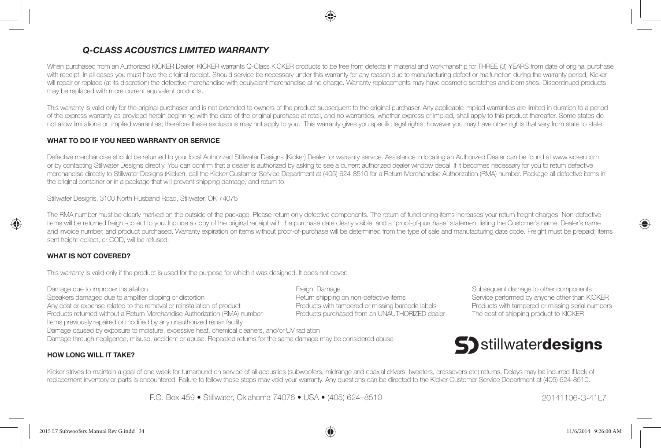#### *Q-CLASS ACOUSTICS LIMITED WARRANTY*

When purchased from an Authorized KICKER Dealer, KICKER warrants Q-Class KICKER products to be free from defects in material and workmanship for THREE (3) YEARS from date of original purchase with receipt. In all cases you must have the original receipt. Should service be necessary under this warranty for any reason due to manufacturing defect or malfunction during the warranty period, Kicker will repair or replace (at its discretion) the defective merchandise with equivalent merchandise at no charge. Warranty replacements may have cosmetic scratches and blemishes. Discontinued products may be replaced with more current equivalent products.

This warranty is valid only for the original purchaser and is not extended to owners of the product subsequent to the original purchaser. Any applicable implied warranties are limited in duration to a period of the express warranty as provided herein beginning with the date of the original purchase at retail, and no warranties, whether express or implied, shall apply to this product thereafter. Some states do not allow limitations on implied warranties; therefore these exclusions may not apply to you. This warranty gives you specific legal rights; however you may have other rights that vary from state to state.

#### **WHAT TO DO IF YOU NEED WARRANTY OR SERVICE**

Defective merchandise should be returned to your local Authorized Stillwater Designs (Kicker) Dealer for warranty service. Assistance in locating an Authorized Dealer can be found at www.kicker.com or by contacting Stillwater Designs directly. You can confirm that a dealer is authorized by asking to see a current authorized dealer window decal. If it becomes necessary for you to return defective merchandise directly to Stillwater Designs (Kicker), call the Kicker Customer Service Department at (405) 624-8510 for a Return Merchandise Authorization (RMA) number. Package all defective items in the original container or in a package that will prevent shipping damage, and return to:

Stillwater Designs, 3100 North Husband Road, Stillwater, OK 74075

The RMA number must be clearly marked on the outside of the package. Please return only defective components. The return of functioning items increases your return freight charges. Non-defective items will be returned freight-collect to you. Include a copy of the original receipt with the purchase date clearly visible, and a "proof-of-purchase" statement listing the Customer's name, Dealer's name and invoice number, and product purchased. Warranty expiration on items without proof-of-purchase will be determined from the type of sale and manufacturing date code. Freight must be prepaid; items sent freight-collect, or COD, will be refused.

#### **WHAT IS NOT COVERED?**

♠

This warranty is valid only if the product is used for the purpose for which it was designed. It does not cover:

Damage due to improper installation extension to the state of the state of the Subsequent damage to other components Speakers damaged due to amplifier clipping or distortion excludion and the shipping on non-defective items Service performed by anyone other than KICKER Any cost or expense related to the removal or reinstallation of product Products with tampered or missing barcode labels Products with tampered or missing serial numbers Products returned without a Return Merchandise Authorization (RMA) number Products purchased from an UNAUTHORIZED dealer The cost of shipping product to KICKER Items previously repaired or modified by any unauthorized repair facility Damage caused by exposure to moisture, excessive heat, chemical cleaners, and/or UV radiation Damage through negligence, misuse, accident or abuse. Repeated returns for the same damage may be considered abuse



#### **HOW LONG WILL IT TAKE?**

Kicker strives to maintain a goal of one week for turnaround on service of all acoustics (subwoofers, midrange and coaxial drivers, tweeters, crossovers etc) returns. Delays may be incurred if lack of replacement inventory or parts is encountered. Failure to follow these steps may void your warranty. Any questions can be directed to the Kicker Customer Service Department at (405) 624-8510.

P.O. Box 459 • Stillwater, Oklahoma 74076 • USA • (405) 624–8510 20141106-G-41L7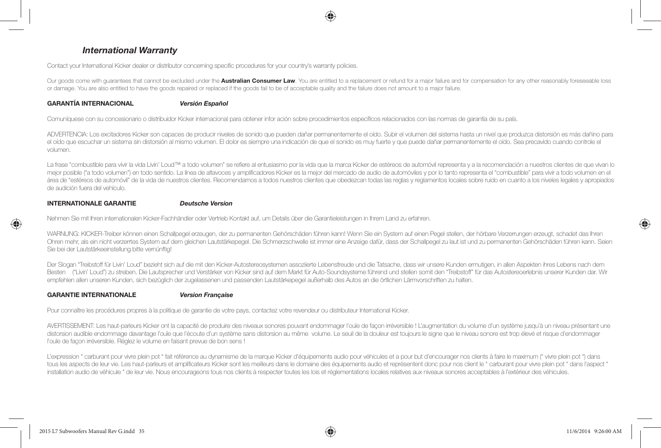#### *International Warranty*

Contact your International Kicker dealer or distributor concerning specific procedures for your country's warranty policies.

Our goods come with guarantees that cannot be excluded under the **Australian Consumer Law**. You are entitled to a replacement or refund for a major failure and for compensation for any other reasonably foreseeable loss or damage. You are also entitled to have the goods repaired or replaced if the goods fail to be of acceptable quality and the failure does not amount to a major failure.

#### **GARANTÍA INTERNACIONAL** *Versión Español*

Comuníquese con su concesionario o distribuidor Kicker internacional para obtener infor ación sobre procedimientos específicos relacionados con las normas de garantía de su país.

ADVERTENCIA: Los excitadores Kicker son capaces de producir niveles de sonido que pueden dañar permanentemente el oído. Subir el volumen del sistema hasta un nivel que produzca distorsión es más dañino para el oído que escuchar un sistema sin distorsión al mismo volumen. El dolor es siempre una indicación de que el sonido es muy fuerte y que puede dañar permanentemente el oído. Sea precavido cuando controle el volumen.

La frase "combustible para vivir la vida Livin' Loud™ a todo volumen" se refiere al entusiasmo por la vida que la marca Kicker de estéreos de automóvil representa y a la recomendación a nuestros clientes de que vivan lo mejor posible ("a todo volumen") en todo sentido. La línea de altavoces y amplificadores Kicker es la mejor del mercado de automóviles y por lo tanto representa el "combustible" para vivir a todo volumen en el área de "estéreos de automóvil" de la vida de nuestros clientes. Recomendamos a todos nuestros clientes que obedezcan todas las reglas y reglamentos locales sobre ruido en cuanto a los niveles legales y apropiados de audición fuera del vehículo.

#### **INTERNATIONALE GARANTIE** *Deutsche Version*

Nehmen Sie mit Ihren internationalen Kicker-Fachhändler oder Vertrieb Kontakt auf, um Details über die Garantieleistungen in Ihrem Land zu erfahren.

WARNUNG: KICKER-Treiber können einen Schallpegel erzeugen, der zu permanenten Gehörschäden führen kann! Wenn Sie ein System auf einen Pegel stellen, der hörbare Verzerrungen erzeugt, schadet das Ihren Ohren mehr, als ein nicht verzerrtes System auf dem gleichen Lautstärkepegel. Die Schmerzschwelle ist immer eine Anzeige dafür, dass der Schallpegel zu laut ist und zu permanenten Gehörschäden führen kann. Seien Sie bei der Lautstärkeeinstellung bitte vernünftig!

Der Slogan "Treibstoff für Livin' Loud" bezieht sich auf die mit den Kicker-Autostereosystemen assoziierte Lebensfreude und die Tatsache, dass wir unsere Kunden ermutigen, in allen Aspekten ihres Lebens nach dem Besten ("Livin' Loud") zu streben. Die Lautsprecher und Verstärker von Kicker sind auf dem Markt für Auto-Soundsysteme führend und stellen somit den "Treibstoff" für das Autostereoerlebnis unserer Kunden dar. Wir empfehlen allen unseren Kunden, sich bezüglich der zugelassenen und passenden Lautstärkepegel außerhalb des Autos an die örtlichen Lärmvorschriften zu halten.

#### **GARANTIE INTERNATIONALE***Version Française*

♠

Pour connaître les procédures propres à la politique de garantie de votre pays, contactez votre revendeur ou distributeur International Kicker.

AVERTISSEMENT: Les haut-parleurs Kicker ont la capacité de produire des niveaux sonores pouvant endommager l'ouïe de façon irréversible ! L'augmentation du volume d'un système jusqu'à un niveau présentant une distorsion audible endommage davantage l'ouïe que l'écoute d'un système sans distorsion au même volume. Le seuil de la douleur est toujours le signe que le niveau sonore est trop élevé et risque d'endommager l'ouïe de façon irréversible. Réglez le volume en faisant prevue de bon sens !

L'expression " carburant pour vivre plein pot " fait référence au dynamisme de la marque Kicker d'équipements audio pour véhicules et a pour but d'encourager nos clients à faire le maximum (" vivre plein pot ") dans tous les aspects de leur vie. Les haut-parleurs et amplificateurs Kicker sont les meilleurs dans le domaine des équipements audio et représentent donc pour nos client le " carburant pour vivre plein pot " dans l'aspect " installation audio de véhicule " de leur vie. Nous encourageons tous nos clients à respecter toutes les lois et réglementations locales relatives aux niveaux sonores acceptables à l'extérieur des véhicules.